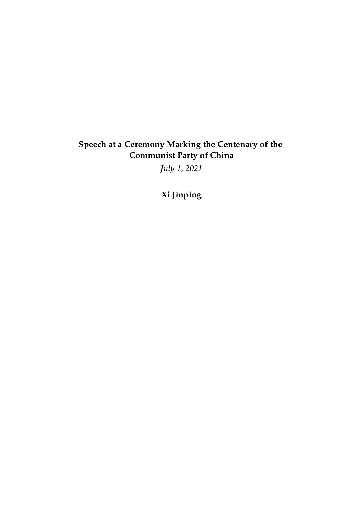# **Speech at a Ceremony Marking the Centenary of the Communist Party of China**

*July 1, 2021*

**Xi Jinping**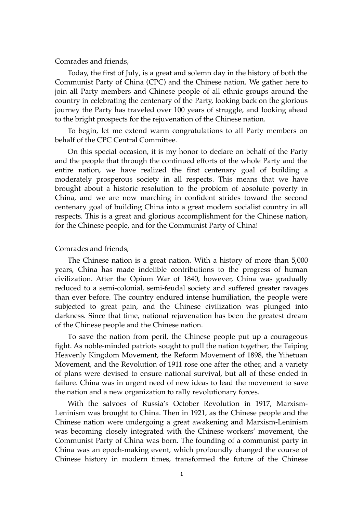Comrades and friends,

Today, the first of July, is a great and solemn day in the history of both the Communist Party of China (CPC) and the Chinese nation. We gather here to join all Party members and Chinese people of all ethnic groups around the country in celebrating the centenary of the Party, looking back on the glorious journey the Party has traveled over 100 years of struggle, and looking ahead to the bright prospects for the rejuvenation of the Chinese nation.

To begin, let me extend warm congratulations to all Party members on behalf of the CPC Central Committee.

On this special occasion, it is my honor to declare on behalf of the Party and the people that through the continued efforts of the whole Party and the entire nation, we have realized the first centenary goal of building a moderately prosperous society in all respects. This means that we have brought about a historic resolution to the problem of absolute poverty in China, and we are now marching in confident strides toward the second centenary goal of building China into a great modern socialist country in all respects. This is a great and glorious accomplishment for the Chinese nation, for the Chinese people, and for the Communist Party of China!

#### Comrades and friends,

The Chinese nation is a great nation. With a history of more than 5,000 years, China has made indelible contributions to the progress of human civilization. After the Opium War of 1840, however, China was gradually reduced to a semi-colonial, semi-feudal society and suffered greater ravages than ever before. The country endured intense humiliation, the people were subjected to great pain, and the Chinese civilization was plunged into darkness. Since that time, national rejuvenation has been the greatest dream of the Chinese people and the Chinese nation.

To save the nation from peril, the Chinese people put up a courageous fight. As noble-minded patriots sought to pull the nation together, the Taiping Heavenly Kingdom Movement, the Reform Movement of 1898, the Yihetuan Movement, and the Revolution of 1911 rose one after the other, and a variety of plans were devised to ensure national survival, but all of these ended in failure. China was in urgent need of new ideas to lead the movement to save the nation and a new organization to rally revolutionary forces.

With the salvoes of Russia's October Revolution in 1917, Marxism-Leninism was brought to China. Then in 1921, as the Chinese people and the Chinese nation were undergoing a great awakening and Marxism-Leninism was becoming closely integrated with the Chinese workers' movement, the Communist Party of China was born. The founding of a communist party in China was an epoch-making event, which profoundly changed the course of Chinese history in modern times, transformed the future of the Chinese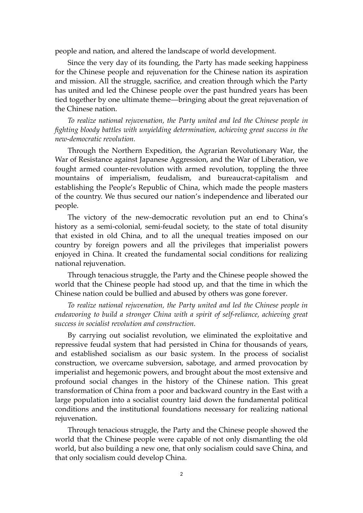people and nation, and altered the landscape of world development.

Since the very day of its founding, the Party has made seeking happiness for the Chinese people and rejuvenation for the Chinese nation its aspiration and mission. All the struggle, sacrifice, and creation through which the Party has united and led the Chinese people over the past hundred years has been tied together by one ultimate theme—bringing about the great rejuvenation of the Chinese nation.

*To realize national rejuvenation, the Party united and led the Chinese people in fighting bloody battles with unyielding determination, achieving great success in the new-democratic revolution.*

Through the Northern Expedition, the Agrarian Revolutionary War, the War of Resistance against Japanese Aggression, and the War of Liberation, we fought armed counter-revolution with armed revolution, toppling the three mountains of imperialism, feudalism, and bureaucrat-capitalism and establishing the People's Republic of China, which made the people masters of the country. We thus secured our nation's independence and liberated our people.

The victory of the new-democratic revolution put an end to China's history as a semi-colonial, semi-feudal society, to the state of total disunity that existed in old China, and to all the unequal treaties imposed on our country by foreign powers and all the privileges that imperialist powers enjoyed in China. It created the fundamental social conditions for realizing national rejuvenation.

Through tenacious struggle, the Party and the Chinese people showed the world that the Chinese people had stood up, and that the time in which the Chinese nation could be bullied and abused by others was gone forever.

*To realize national rejuvenation, the Party united and led the Chinese people in endeavoring to build a stronger China with a spirit of self-reliance, achieving great success in socialist revolution and construction.* 

By carrying out socialist revolution, we eliminated the exploitative and repressive feudal system that had persisted in China for thousands of years, and established socialism as our basic system. In the process of socialist construction, we overcame subversion, sabotage, and armed provocation by imperialist and hegemonic powers, and brought about the most extensive and profound social changes in the history of the Chinese nation. This great transformation of China from a poor and backward country in the East with a large population into a socialist country laid down the fundamental political conditions and the institutional foundations necessary for realizing national rejuvenation.

Through tenacious struggle, the Party and the Chinese people showed the world that the Chinese people were capable of not only dismantling the old world, but also building a new one, that only socialism could save China, and that only socialism could develop China.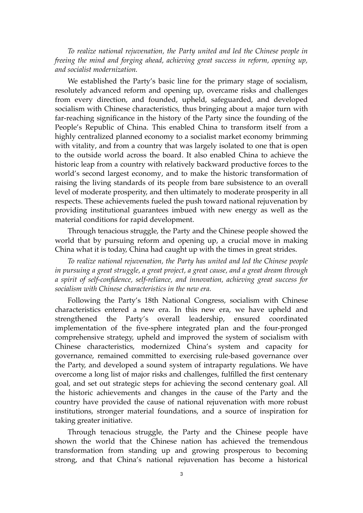*To realize national rejuvenation, the Party united and led the Chinese people in freeing the mind and forging ahead, achieving great success in reform, opening up, and socialist modernization.* 

We established the Party's basic line for the primary stage of socialism, resolutely advanced reform and opening up, overcame risks and challenges from every direction, and founded, upheld, safeguarded, and developed socialism with Chinese characteristics, thus bringing about a major turn with far-reaching significance in the history of the Party since the founding of the People's Republic of China. This enabled China to transform itself from a highly centralized planned economy to a socialist market economy brimming with vitality, and from a country that was largely isolated to one that is open to the outside world across the board. It also enabled China to achieve the historic leap from a country with relatively backward productive forces to the world's second largest economy, and to make the historic transformation of raising the living standards of its people from bare subsistence to an overall level of moderate prosperity, and then ultimately to moderate prosperity in all respects. These achievements fueled the push toward national rejuvenation by providing institutional guarantees imbued with new energy as well as the material conditions for rapid development.

Through tenacious struggle, the Party and the Chinese people showed the world that by pursuing reform and opening up, a crucial move in making China what it is today, China had caught up with the times in great strides.

*To realize national rejuvenation, the Party has united and led the Chinese people in pursuing a great struggle, a great project, a great cause, and a great dream through a spirit of self-confidence, self-reliance, and innovation, achieving great success for socialism with Chinese characteristics in the new era.* 

Following the Party's 18th National Congress, socialism with Chinese characteristics entered a new era. In this new era, we have upheld and strengthened the Party's overall leadership, ensured coordinated implementation of the five-sphere integrated plan and the four-pronged comprehensive strategy, upheld and improved the system of socialism with Chinese characteristics, modernized China's system and capacity for governance, remained committed to exercising rule-based governance over the Party, and developed a sound system of intraparty regulations. We have overcome a long list of major risks and challenges, fulfilled the first centenary goal, and set out strategic steps for achieving the second centenary goal. All the historic achievements and changes in the cause of the Party and the country have provided the cause of national rejuvenation with more robust institutions, stronger material foundations, and a source of inspiration for taking greater initiative.

Through tenacious struggle, the Party and the Chinese people have shown the world that the Chinese nation has achieved the tremendous transformation from standing up and growing prosperous to becoming strong, and that China's national rejuvenation has become a historical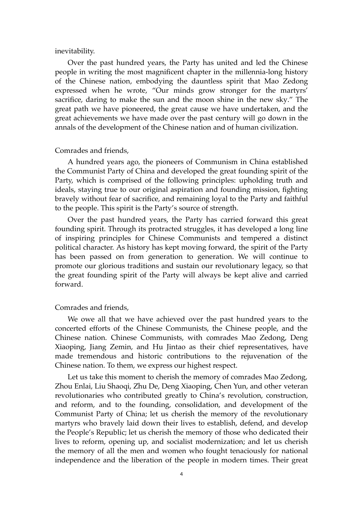## inevitability.

Over the past hundred years, the Party has united and led the Chinese people in writing the most magnificent chapter in the millennia-long history of the Chinese nation, embodying the dauntless spirit that Mao Zedong expressed when he wrote, "Our minds grow stronger for the martyrs' sacrifice, daring to make the sun and the moon shine in the new sky." The great path we have pioneered, the great cause we have undertaken, and the great achievements we have made over the past century will go down in the annals of the development of the Chinese nation and of human civilization.

# Comrades and friends,

A hundred years ago, the pioneers of Communism in China established the Communist Party of China and developed the great founding spirit of the Party, which is comprised of the following principles: upholding truth and ideals, staying true to our original aspiration and founding mission, fighting bravely without fear of sacrifice, and remaining loyal to the Party and faithful to the people. This spirit is the Party's source of strength.

Over the past hundred years, the Party has carried forward this great founding spirit. Through its protracted struggles, it has developed a long line of inspiring principles for Chinese Communists and tempered a distinct political character. As history has kept moving forward, the spirit of the Party has been passed on from generation to generation. We will continue to promote our glorious traditions and sustain our revolutionary legacy, so that the great founding spirit of the Party will always be kept alive and carried forward.

#### Comrades and friends,

We owe all that we have achieved over the past hundred years to the concerted efforts of the Chinese Communists, the Chinese people, and the Chinese nation. Chinese Communists, with comrades Mao Zedong, Deng Xiaoping, Jiang Zemin, and Hu Jintao as their chief representatives, have made tremendous and historic contributions to the rejuvenation of the Chinese nation. To them, we express our highest respect.

Let us take this moment to cherish the memory of comrades Mao Zedong, Zhou Enlai, Liu Shaoqi, Zhu De, Deng Xiaoping, Chen Yun, and other veteran revolutionaries who contributed greatly to China's revolution, construction, and reform, and to the founding, consolidation, and development of the Communist Party of China; let us cherish the memory of the revolutionary martyrs who bravely laid down their lives to establish, defend, and develop the People's Republic; let us cherish the memory of those who dedicated their lives to reform, opening up, and socialist modernization; and let us cherish the memory of all the men and women who fought tenaciously for national independence and the liberation of the people in modern times. Their great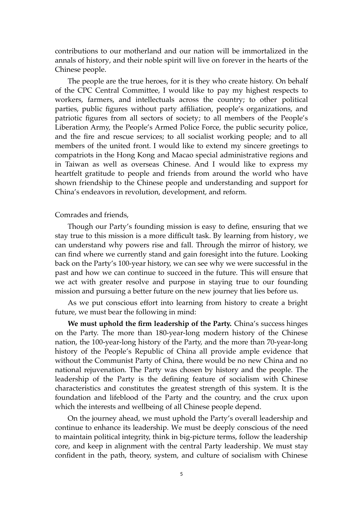contributions to our motherland and our nation will be immortalized in the annals of history, and their noble spirit will live on forever in the hearts of the Chinese people.

The people are the true heroes, for it is they who create history. On behalf of the CPC Central Committee, I would like to pay my highest respects to workers, farmers, and intellectuals across the country; to other political parties, public figures without party affiliation, people's organizations, and patriotic figures from all sectors of society; to all members of the People's Liberation Army, the People's Armed Police Force, the public security police, and the fire and rescue services; to all socialist working people; and to all members of the united front. I would like to extend my sincere greetings to compatriots in the Hong Kong and Macao special administrative regions and in Taiwan as well as overseas Chinese. And I would like to express my heartfelt gratitude to people and friends from around the world who have shown friendship to the Chinese people and understanding and support for China's endeavors in revolution, development, and reform.

# Comrades and friends,

Though our Party's founding mission is easy to define, ensuring that we stay true to this mission is a more difficult task. By learning from history, we can understand why powers rise and fall. Through the mirror of history, we can find where we currently stand and gain foresight into the future. Looking back on the Party's 100-year history, we can see why we were successful in the past and how we can continue to succeed in the future. This will ensure that we act with greater resolve and purpose in staying true to our founding mission and pursuing a better future on the new journey that lies before us.

As we put conscious effort into learning from history to create a bright future, we must bear the following in mind:

**We must uphold the firm leadership of the Party.** China's success hinges on the Party. The more than 180-year-long modern history of the Chinese nation, the 100-year-long history of the Party, and the more than 70-year-long history of the People's Republic of China all provide ample evidence that without the Communist Party of China, there would be no new China and no national rejuvenation. The Party was chosen by history and the people. The leadership of the Party is the defining feature of socialism with Chinese characteristics and constitutes the greatest strength of this system. It is the foundation and lifeblood of the Party and the country, and the crux upon which the interests and wellbeing of all Chinese people depend.

On the journey ahead, we must uphold the Party's overall leadership and continue to enhance its leadership. We must be deeply conscious of the need to maintain political integrity, think in big-picture terms, follow the leadership core, and keep in alignment with the central Party leadership. We must stay confident in the path, theory, system, and culture of socialism with Chinese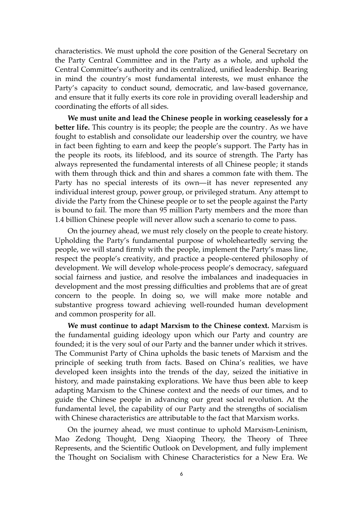characteristics. We must uphold the core position of the General Secretary on the Party Central Committee and in the Party as a whole, and uphold the Central Committee's authority and its centralized, unified leadership. Bearing in mind the country's most fundamental interests, we must enhance the Party's capacity to conduct sound, democratic, and law-based governance, and ensure that it fully exerts its core role in providing overall leadership and coordinating the efforts of all sides.

**We must unite and lead the Chinese people in working ceaselessly for a better life.** This country is its people; the people are the country. As we have fought to establish and consolidate our leadership over the country, we have in fact been fighting to earn and keep the people's support. The Party has in the people its roots, its lifeblood, and its source of strength. The Party has always represented the fundamental interests of all Chinese people; it stands with them through thick and thin and shares a common fate with them. The Party has no special interests of its own—it has never represented any individual interest group, power group, or privileged stratum. Any attempt to divide the Party from the Chinese people or to set the people against the Party is bound to fail. The more than 95 million Party members and the more than 1.4 billion Chinese people will never allow such a scenario to come to pass.

On the journey ahead, we must rely closely on the people to create history. Upholding the Party's fundamental purpose of wholeheartedly serving the people, we will stand firmly with the people, implement the Party's mass line, respect the people's creativity, and practice a people-centered philosophy of development. We will develop whole-process people's democracy, safeguard social fairness and justice, and resolve the imbalances and inadequacies in development and the most pressing difficulties and problems that are of great concern to the people. In doing so, we will make more notable and substantive progress toward achieving well-rounded human development and common prosperity for all.

**We must continue to adapt Marxism to the Chinese context.** Marxism is the fundamental guiding ideology upon which our Party and country are founded; it is the very soul of our Party and the banner under which it strives. The Communist Party of China upholds the basic tenets of Marxism and the principle of seeking truth from facts. Based on China's realities, we have developed keen insights into the trends of the day, seized the initiative in history, and made painstaking explorations. We have thus been able to keep adapting Marxism to the Chinese context and the needs of our times, and to guide the Chinese people in advancing our great social revolution. At the fundamental level, the capability of our Party and the strengths of socialism with Chinese characteristics are attributable to the fact that Marxism works.

On the journey ahead, we must continue to uphold Marxism-Leninism, Mao Zedong Thought, Deng Xiaoping Theory, the Theory of Three Represents, and the Scientific Outlook on Development, and fully implement the Thought on Socialism with Chinese Characteristics for a New Era. We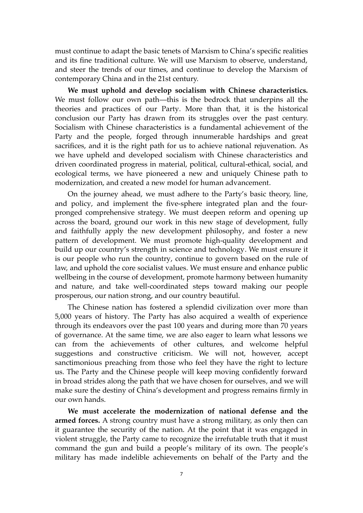must continue to adapt the basic tenets of Marxism to China's specific realities and its fine traditional culture. We will use Marxism to observe, understand, and steer the trends of our times, and continue to develop the Marxism of contemporary China and in the 21st century.

**We must uphold and develop socialism with Chinese characteristics.** We must follow our own path—this is the bedrock that underpins all the theories and practices of our Party. More than that, it is the historical conclusion our Party has drawn from its struggles over the past century. Socialism with Chinese characteristics is a fundamental achievement of the Party and the people, forged through innumerable hardships and great sacrifices, and it is the right path for us to achieve national rejuvenation. As we have upheld and developed socialism with Chinese characteristics and driven coordinated progress in material, political, cultural-ethical, social, and ecological terms, we have pioneered a new and uniquely Chinese path to modernization, and created a new model for human advancement.

On the journey ahead, we must adhere to the Party's basic theory, line, and policy, and implement the five-sphere integrated plan and the fourpronged comprehensive strategy. We must deepen reform and opening up across the board, ground our work in this new stage of development, fully and faithfully apply the new development philosophy, and foster a new pattern of development. We must promote high-quality development and build up our country's strength in science and technology. We must ensure it is our people who run the country, continue to govern based on the rule of law, and uphold the core socialist values. We must ensure and enhance public wellbeing in the course of development, promote harmony between humanity and nature, and take well-coordinated steps toward making our people prosperous, our nation strong, and our country beautiful.

The Chinese nation has fostered a splendid civilization over more than 5,000 years of history. The Party has also acquired a wealth of experience through its endeavors over the past 100 years and during more than 70 years of governance. At the same time, we are also eager to learn what lessons we can from the achievements of other cultures, and welcome helpful suggestions and constructive criticism. We will not, however, accept sanctimonious preaching from those who feel they have the right to lecture us. The Party and the Chinese people will keep moving confidently forward in broad strides along the path that we have chosen for ourselves, and we will make sure the destiny of China's development and progress remains firmly in our own hands.

**We must accelerate the modernization of national defense and the** armed forces. A strong country must have a strong military, as only then can it guarantee the security of the nation. At the point that it was engaged in violent struggle, the Party came to recognize the irrefutable truth that it must command the gun and build a people's military of its own. The people's military has made indelible achievements on behalf of the Party and the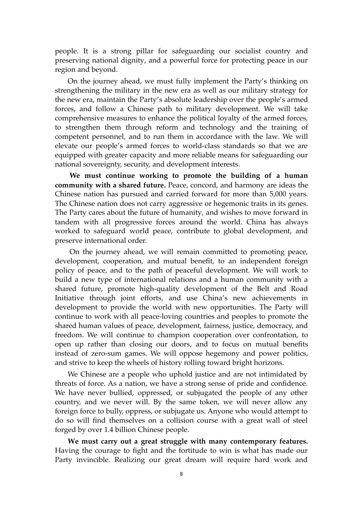people. It is a strong pillar for safeguarding our socialist country and preserving national dignity, and a powerful force for protecting peace in our region and beyond.

On the journey ahead, we must fully implement the Party's thinking on strengthening the military in the new era as well as our military strategy for the new era, maintain the Party's absolute leadership over the people's armed forces, and follow a Chinese path to military development. We will take comprehensive measures to enhance the political loyalty of the armed forces, to strengthen them through reform and technology and the training of competent personnel, and to run them in accordance with the law. We will elevate our people's armed forces to world-class standards so that we are equipped with greater capacity and more reliable means for safeguarding our national sovereignty, security, and development interests.

**We must continue working to promote the building of a human community with a shared future.** Peace, concord, and harmony are ideas the Chinese nation has pursued and carried forward for more than 5,000 years. The Chinese nation does not carry aggressive or hegemonic traits in its genes. The Party cares about the future of humanity, and wishes to move forward in tandem with all progressive forces around the world. China has always worked to safeguard world peace, contribute to global development, and preserve international order.

On the journey ahead, we will remain committed to promoting peace, development, cooperation, and mutual benefit, to an independent foreign policy of peace, and to the path of peaceful development. We will work to build a new type of international relations and a human community with a shared future, promote high-quality development of the Belt and Road Initiative through joint efforts, and use China's new achievements in development to provide the world with new opportunities. The Party will continue to work with all peace-loving countries and peoples to promote the shared human values of peace, development, fairness, justice, democracy, and freedom. We will continue to champion cooperation over confrontation, to open up rather than closing our doors, and to focus on mutual benefits instead of zero-sum games. We will oppose hegemony and power politics, and strive to keep the wheels of history rolling toward bright horizons.

We Chinese are a people who uphold justice and are not intimidated by threats of force. As a nation, we have a strong sense of pride and confidence. We have never bullied, oppressed, or subjugated the people of any other country, and we never will. By the same token, we will never allow any foreign force to bully, oppress, or subjugate us. Anyone who would attempt to do so will find themselves on a collision course with a great wall of steel forged by over 1.4 billion Chinese people.

**We must carry out a great struggle with many contemporary features.** Having the courage to fight and the fortitude to win is what has made our Party invincible. Realizing our great dream will require hard work and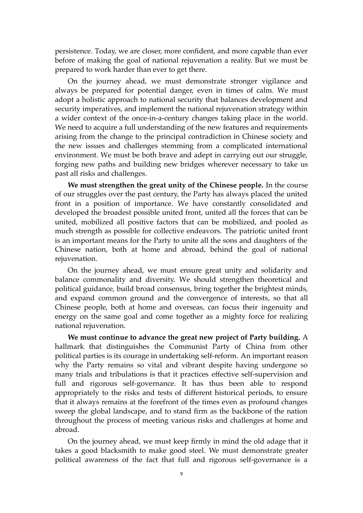persistence. Today, we are closer, more confident, and more capable than ever before of making the goal of national rejuvenation a reality. But we must be prepared to work harder than ever to get there.

On the journey ahead, we must demonstrate stronger vigilance and always be prepared for potential danger, even in times of calm. We must adopt a holistic approach to national security that balances development and security imperatives, and implement the national rejuvenation strategy within a wider context of the once-in-a-century changes taking place in the world. We need to acquire a full understanding of the new features and requirements arising from the change to the principal contradiction in Chinese society and the new issues and challenges stemming from a complicated international environment. We must be both brave and adept in carrying out our struggle, forging new paths and building new bridges wherever necessary to take us past all risks and challenges.

**We must strengthen the great unity of the Chinese people.** In the course of our struggles over the past century, the Party has always placed the united front in a position of importance. We have constantly consolidated and developed the broadest possible united front, united all the forces that can be united, mobilized all positive factors that can be mobilized, and pooled as much strength as possible for collective endeavors. The patriotic united front is an important means for the Party to unite all the sons and daughters of the Chinese nation, both at home and abroad, behind the goal of national rejuvenation.

On the journey ahead, we must ensure great unity and solidarity and balance commonality and diversity. We should strengthen theoretical and political guidance, build broad consensus, bring together the brightest minds, and expand common ground and the convergence of interests, so that all Chinese people, both at home and overseas, can focus their ingenuity and energy on the same goal and come together as a mighty force for realizing national rejuvenation.

**We must continue to advance the great new project of Party building.** A hallmark that distinguishes the Communist Party of China from other political parties is its courage in undertaking self-reform. An important reason why the Party remains so vital and vibrant despite having undergone so many trials and tribulations is that it practices effective self-supervision and full and rigorous self-governance. It has thus been able to respond appropriately to the risks and tests of different historical periods, to ensure that it always remains at the forefront of the times even as profound changes sweep the global landscape, and to stand firm as the backbone of the nation throughout the process of meeting various risks and challenges at home and abroad.

On the journey ahead, we must keep firmly in mind the old adage that it takes a good blacksmith to make good steel. We must demonstrate greater political awareness of the fact that full and rigorous self-governance is a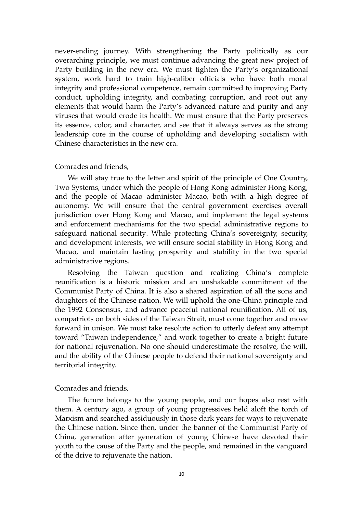never-ending journey. With strengthening the Party politically as our overarching principle, we must continue advancing the great new project of Party building in the new era. We must tighten the Party's organizational system, work hard to train high-caliber officials who have both moral integrity and professional competence, remain committed to improving Party conduct, upholding integrity, and combating corruption, and root out any elements that would harm the Party's advanced nature and purity and any viruses that would erode its health. We must ensure that the Party preserves its essence, color, and character, and see that it always serves as the strong leadership core in the course of upholding and developing socialism with Chinese characteristics in the new era.

#### Comrades and friends,

We will stay true to the letter and spirit of the principle of One Country, Two Systems, under which the people of Hong Kong administer Hong Kong, and the people of Macao administer Macao, both with a high degree of autonomy. We will ensure that the central government exercises overall jurisdiction over Hong Kong and Macao, and implement the legal systems and enforcement mechanisms for the two special administrative regions to safeguard national security. While protecting China's sovereignty, security, and development interests, we will ensure social stability in Hong Kong and Macao, and maintain lasting prosperity and stability in the two special administrative regions.

Resolving the Taiwan question and realizing China's complete reunification is a historic mission and an unshakable commitment of the Communist Party of China. It is also a shared aspiration of all the sons and daughters of the Chinese nation. We will uphold the one-China principle and the 1992 Consensus, and advance peaceful national reunification. All of us, compatriots on both sides of the Taiwan Strait, must come together and move forward in unison. We must take resolute action to utterly defeat any attempt toward "Taiwan independence," and work together to create a bright future for national rejuvenation. No one should underestimate the resolve, the will, and the ability of the Chinese people to defend their national sovereignty and territorial integrity.

# Comrades and friends,

The future belongs to the young people, and our hopes also rest with them. A century ago, a group of young progressives held aloft the torch of Marxism and searched assiduously in those dark years for ways to rejuvenate the Chinese nation. Since then, under the banner of the Communist Party of China, generation after generation of young Chinese have devoted their youth to the cause of the Party and the people, and remained in the vanguard of the drive to rejuvenate the nation.